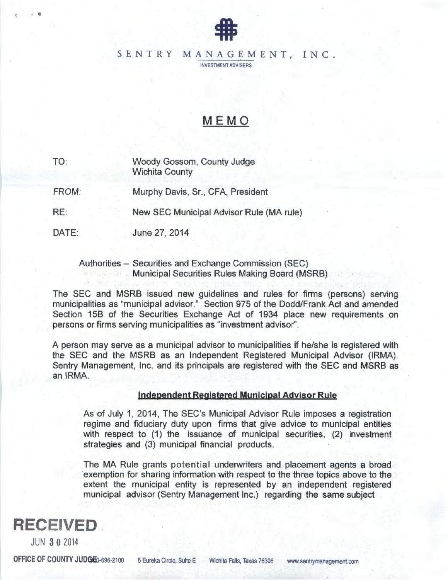

### SENTRY MANAGEMENT, INC.

INVESTMENT ADVISERS

# MEMO

TO: Woody Gossom, County Judge Wichita County

FROM: Murphy Davis, Sr., CFA, President

RE: New SEC Municipal Advisor Rule (MA rule)

DATE: June 27, 2014

> Authorities - Securities and Exchange Commission (SEC) Municipal Securities Rules Making Board (MSRB)

The SEC and MSRB issued new guidelines and rules for firms (persons) serving municipalities as "municipal advisor." Section 975 of the Dodd/Frank Act and amended Section 158 of the Securities Exchange Act of 1934 place new requirements on persons or firms serving municipalities as "investment advisor".

A person may serve as a municipal advisor to municipalities if he/she is registered with the SEC and the MSRB as an Independent Registered Municipal Advisor (IRMA). Sentry Management, Inc. and its principals are registered with the SEC and MSRB as an IRMA.

#### Independent Registered Munjcipal Advisor Rule

As of July 1, 2014, The SEC's Municipal Advisor Rule imposes a registration regime and fiduciary duty upon firms that give advice to municipal entities with respect to (1) the issuance of municipal securities, (2) investment strategies and (3) municipal financial products.

The MA Rule grants potential underwriters and placement agents a broad exemption for sharing information with respect to the three topics above to the extent the municipal entity is represented by an independent registered municipal advisor (Sentry Management Inc.) regarding the same subject



••

JUN 3 0 2014